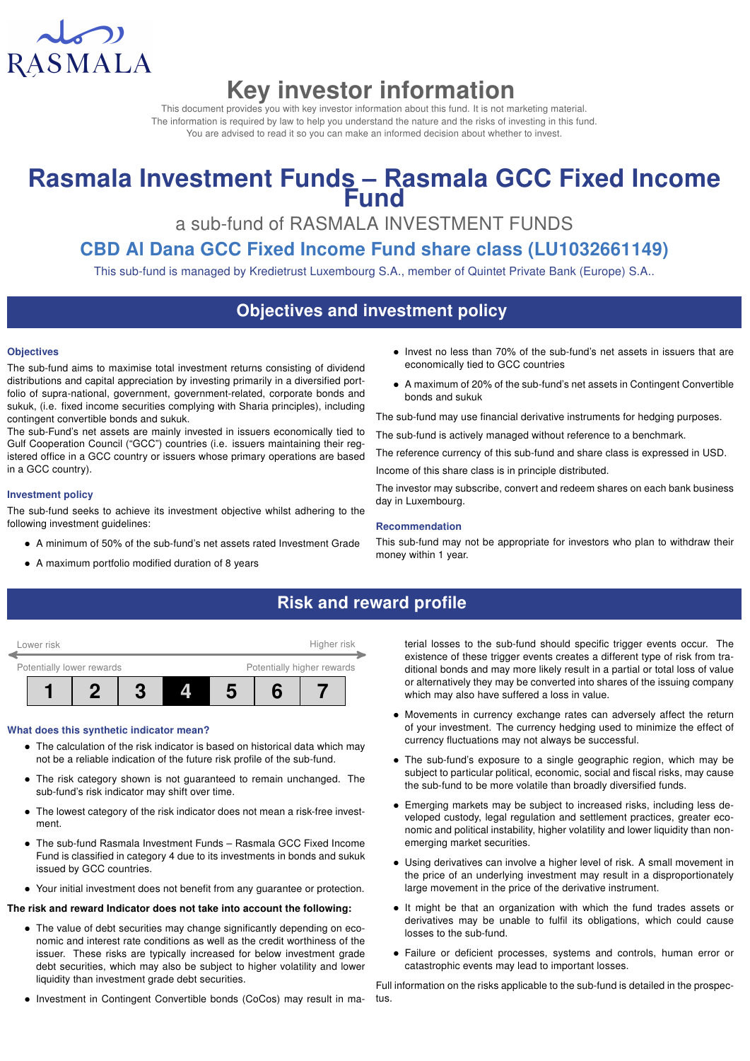

# Key investor information

This document provides you with key investor information about this fund. It is not marketing material. The information is required by law to help you understand the nature and the risks of investing in this fund. You are advised to read it so you can make an informed decision about whether to invest.

# Rasmala Investment Funds - Rasmala GCC Fixed Income **Fund**

a sub-fund of RASMALA INVESTMENT FUNDS

## CBD Al Dana GCC Fixed Income Fund share class (LU1032661149)

This sub-fund is managed by Kredietrust Luxembourg S.A., member of Quintet Private Bank (Europe) S.A..

## Objectives and investment policy

#### **Objectives**

The sub-fund aims to maximise total investment returns consisting of dividend distributions and capital appreciation by investing primarily in a diversified portfolio of supra-national, government, government-related, corporate bonds and sukuk, (i.e. fixed income securities complying with Sharia principles), including contingent convertible bonds and sukuk.

The sub-Fund's net assets are mainly invested in issuers economically tied to Gulf Cooperation Council ("GCC") countries (i.e. issuers maintaining their registered office in a GCC country or issuers whose primary operations are based in a GCC country).

#### Investment policy

The sub-fund seeks to achieve its investment objective whilst adhering to the following investment guidelines:

- A minimum of 50% of the sub-fund's net assets rated Investment Grade
- A maximum portfolio modified duration of 8 years
- Invest no less than 70% of the sub-fund's net assets in issuers that are economically tied to GCC countries
- A maximum of 20% of the sub-fund's net assets in Contingent Convertible bonds and sukuk

The sub-fund may use financial derivative instruments for hedging purposes.

The sub-fund is actively managed without reference to a benchmark.

The reference currency of this sub-fund and share class is expressed in USD.

Income of this share class is in principle distributed.

The investor may subscribe, convert and redeem shares on each bank business day in Luxembourg.

#### Recommendation

This sub-fund may not be appropriate for investors who plan to withdraw their money within 1 year.

## Risk and reward profile



#### What does this synthetic indicator mean?

- The calculation of the risk indicator is based on historical data which may not be a reliable indication of the future risk profile of the sub-fund.
- The risk category shown is not guaranteed to remain unchanged. The sub-fund's risk indicator may shift over time.
- The lowest category of the risk indicator does not mean a risk-free investment.
- The sub-fund Rasmala Investment Funds Rasmala GCC Fixed Income Fund is classified in category 4 due to its investments in bonds and sukuk issued by GCC countries.
- Your initial investment does not benefit from any guarantee or protection.

#### The risk and reward Indicator does not take into account the following:

- The value of debt securities may change significantly depending on economic and interest rate conditions as well as the credit worthiness of the issuer. These risks are typically increased for below investment grade debt securities, which may also be subject to higher volatility and lower liquidity than investment grade debt securities.
- Investment in Contingent Convertible bonds (CoCos) may result in ma-

terial losses to the sub-fund should specific trigger events occur. The existence of these trigger events creates a different type of risk from traditional bonds and may more likely result in a partial or total loss of value or alternatively they may be converted into shares of the issuing company which may also have suffered a loss in value.

- Movements in currency exchange rates can adversely affect the return of your investment. The currency hedging used to minimize the effect of currency fluctuations may not always be successful.
- The sub-fund's exposure to a single geographic region, which may be subject to particular political, economic, social and fiscal risks, may cause the sub-fund to be more volatile than broadly diversified funds.
- Emerging markets may be subject to increased risks, including less developed custody, legal regulation and settlement practices, greater economic and political instability, higher volatility and lower liquidity than nonemerging market securities.
- Using derivatives can involve a higher level of risk. A small movement in the price of an underlying investment may result in a disproportionately large movement in the price of the derivative instrument.
- It might be that an organization with which the fund trades assets or derivatives may be unable to fulfil its obligations, which could cause losses to the sub-fund.
- Failure or deficient processes, systems and controls, human error or catastrophic events may lead to important losses.

Full information on the risks applicable to the sub-fund is detailed in the prospectus.